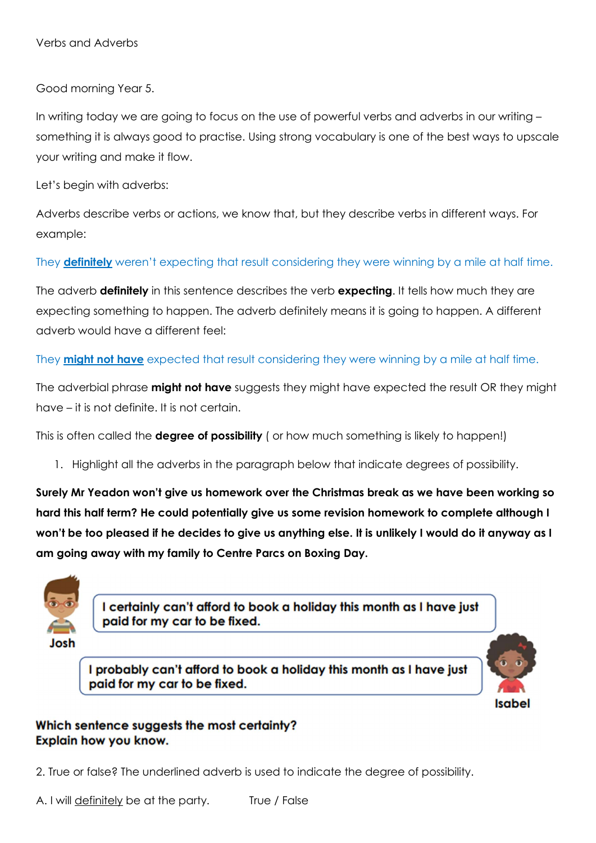Verbs and Adverbs

Good morning Year 5.

In writing today we are going to focus on the use of powerful verbs and adverbs in our writing – something it is always good to practise. Using strong vocabulary is one of the best ways to upscale your writing and make it flow.

Let's begin with adverbs:

Adverbs describe verbs or actions, we know that, but they describe verbs in different ways. For example:

They **definitely** weren't expecting that result considering they were winning by a mile at half time.

The adverb **definitely** in this sentence describes the verb **expecting**. It tells how much they are expecting something to happen. The adverb definitely means it is going to happen. A different adverb would have a different feel:

They **might not have** expected that result considering they were winning by a mile at half time.

The adverbial phrase might not have suggests they might have expected the result OR they might have – it is not definite. It is not certain.

This is often called the **degree of possibility** ( or how much something is likely to happen!)

1. Highlight all the adverbs in the paragraph below that indicate degrees of possibility.

Surely Mr Yeadon won't give us homework over the Christmas break as we have been working so hard this half term? He could potentially give us some revision homework to complete although I won't be too pleased if he decides to give us anything else. It is unlikely I would do it anyway as I am going away with my family to Centre Parcs on Boxing Day.



I certainly can't afford to book a holiday this month as I have just paid for my car to be fixed.

I probably can't afford to book a holiday this month as I have just paid for my car to be fixed.



## Which sentence suggests the most certainty? Explain how you know.

2. True or false? The underlined adverb is used to indicate the degree of possibility.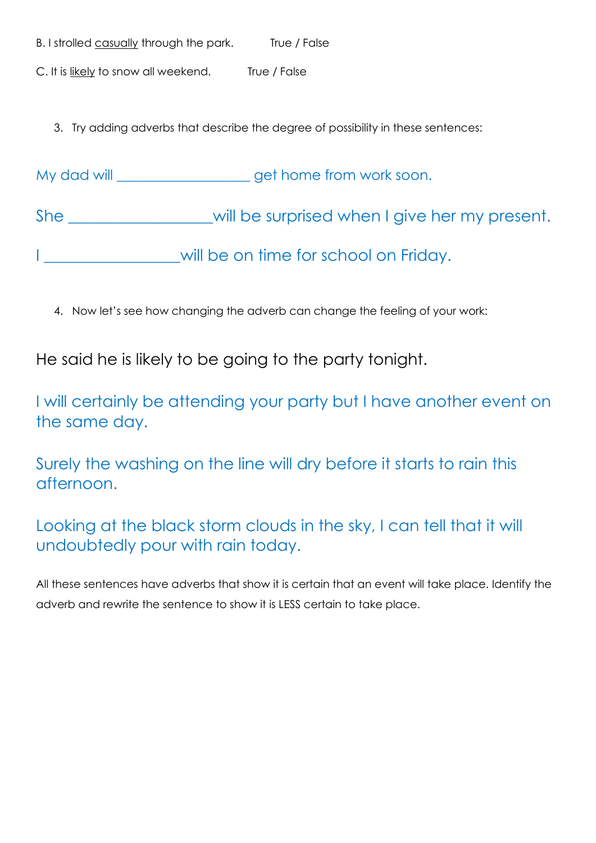| B. I strolled casually through the park. | True / False |
|------------------------------------------|--------------|
| C. It is likely to snow all weekend.     | True / False |

3. Try adding adverbs that describe the degree of possibility in these sentences:

My dad will \_\_\_\_\_\_\_\_\_\_\_\_\_\_\_\_\_\_\_\_ get home from work soon.

She \_\_\_\_\_\_\_\_\_\_\_\_\_\_\_\_will be surprised when I give her my present.

I consequently all the on time for school on Friday.

4. Now let's see how changing the adverb can change the feeling of your work:

He said he is likely to be going to the party tonight.

I will certainly be attending your party but I have another event on the same day.

Surely the washing on the line will dry before it starts to rain this afternoon.

Looking at the black storm clouds in the sky, I can tell that it will undoubtedly pour with rain today.

All these sentences have adverbs that show it is certain that an event will take place. Identify the adverb and rewrite the sentence to show it is LESS certain to take place.